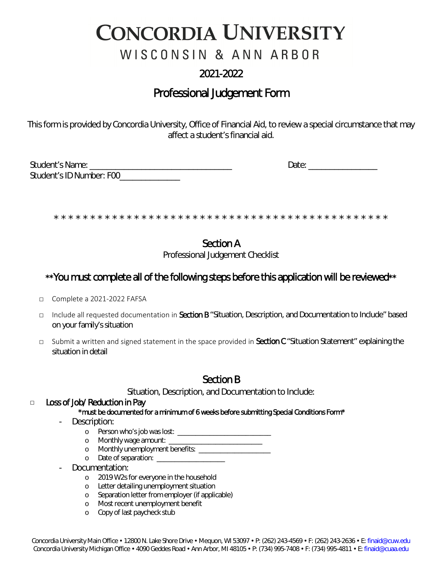# **CONCORDIA UNIVERSITY**

WISCONSIN & ANN ARBOR

## 2021-2022

## Professional Judgement Form

This form is provided by Concordia University, Office of Financial Aid, to review a special circumstance that may affect a student's financial aid.

| Student's Name:          | Date |
|--------------------------|------|
| Student's ID Number: F00 |      |

\* \* \* \* \* \* \* \* \* \* \* \* \* \* \* \* \* \* \* \* \* \* \* \* \* \* \* \* \* \* \* \* \* \* \* \* \* \* \* \* \* \* \* \* \* \*

## Section A

Professional Judgement Checklist

### \*\*You must complete all of the following steps before this application will be reviewed\*\*

- □ Complete a 2021-2022 FAFSA
- □ Include all requested documentation in Section B "Situation, Description, and Documentation to Include" based on your family's situation
- □ Submit a written and signed statement in the space provided in Section C "Situation Statement" explaining the situation in detail

### Section B

Situation, Description, and Documentation to Include:

#### □ Loss of Job/ Reduction in Pay \*must be documented for a minimum of 6 weeks before submitting Special Conditions Form\*

- Description:
	- o Person who's job was lost: \_\_\_\_\_\_\_\_\_\_\_\_\_\_\_\_\_\_\_\_\_\_\_\_\_\_
	- o Monthly wage amount: \_\_\_\_\_\_\_\_\_\_\_\_\_\_\_\_\_\_\_\_\_\_\_\_\_\_
	- o Monthly unemployment benefits: \_\_\_\_\_\_\_\_\_\_\_\_\_\_\_\_
	- o Date of separation:
- Documentation:
	- o 2019 W2s for everyone in the household
	- o Letter detailing unemployment situation
	- o Separation letter from employer (if applicable)
	- o Most recent unemployment benefit
	- o Copy of last paycheck stub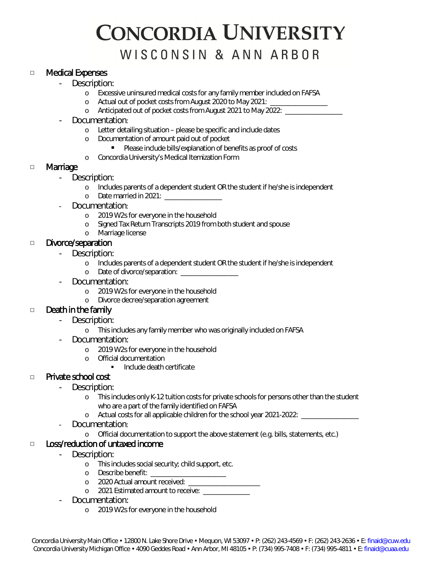## **CONCORDIA UNIVERSITY** WISCONSIN & ANN ARBOR

#### □ Medical Expenses

- Description:
	- o Excessive uninsured medical costs for any family member included on FAFSA
	- o Actual out of pocket costs from August 2020 to May 2021: \_\_\_\_\_\_\_\_\_\_\_\_\_\_\_\_\_\_\_\_\_
	- o Anticipated out of pocket costs from August 2021 to May 2022: \_\_\_\_\_\_\_\_\_\_\_\_\_\_\_\_
- Documentation:
	- o Letter detailing situation please be specific and include dates
	- o Documentation of amount paid out of pocket
		- Please include bills/explanation of benefits as proof of costs
	- o Concordia University's Medical Itemization Form

#### □ Marriage

- Description:
	- o Includes parents of a dependent student OR the student if he/she is independent
	- o Date married in 2021: \_\_\_\_\_\_\_\_\_\_\_\_\_\_\_\_
- Documentation:
	- o 2019 W2s for everyone in the household
	- o Signed Tax Return Transcripts 2019 from both student and spouse
	- o Marriage license

#### □ Divorce/separation

- Description:
	- o Includes parents of a dependent student OR the student if he/she is independent
	- o Date of divorce/separation: \_\_\_\_\_\_\_\_\_\_\_\_\_\_
- Documentation:
	- o 2019 W2s for everyone in the household
	- o Divorce decree/separation agreement

#### □ Death in the family

- Description:
	- o This includes any family member who was originally included on FAFSA
- Documentation:
	- o 2019 W2s for everyone in the household
	- o Official documentation
		- Include death certificate

#### □ Private school cost

- Description:
	- o This includes only K-12 tuition costs for private schools for persons other than the student who are a part of the family identified on FAFSA
	- o Actual costs for all applicable children for the school year 2021-2022: \_\_\_\_\_\_\_\_\_\_\_\_\_\_\_\_
- Documentation:
	- o Official documentation to support the above statement (e.g. bills, statements, etc.)

#### □ Loss/reduction of untaxed income

- Description:
	- o This includes social security; child support, etc.
	- o Describe benefit: \_\_\_\_\_\_\_\_\_\_\_\_\_\_\_\_\_\_\_\_\_
	- o 2020 Actual amount received:
	- o 2021 Estimated amount to receive:
- Documentation:
	- o 2019 W2s for everyone in the household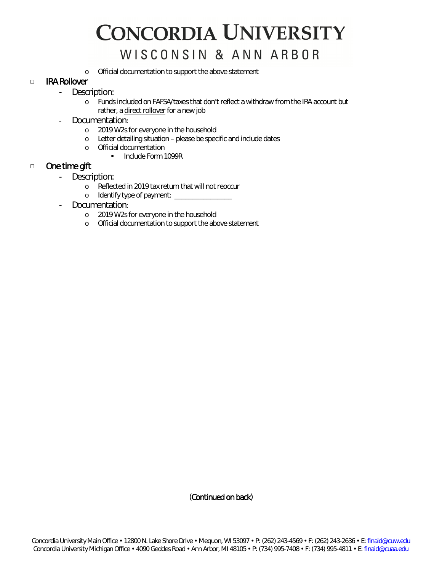# **CONCORDIA UNIVERSITY** WISCONSIN & ANN ARBOR

o Official documentation to support the above statement

#### □ IRA Rollover

- Description:
	- o Funds included on FAFSA/taxes that don't reflect a withdraw from the IRA account but rather, a direct rollover for a new job
- Documentation:
	- o 2019 W2s for everyone in the household
	- o Letter detailing situation please be specific and include dates
	- o Official documentation
		- **Include Form 1099R**

#### □ One time gift

- Description:
	- o Reflected in 2019 tax return that will not reoccur
	- o Identify type of payment: \_\_\_\_\_\_\_\_\_\_\_\_\_\_\_\_\_\_
- Documentation:
	- o 2019 W2s for everyone in the household
	- o Official documentation to support the above statement

(Continued on back)